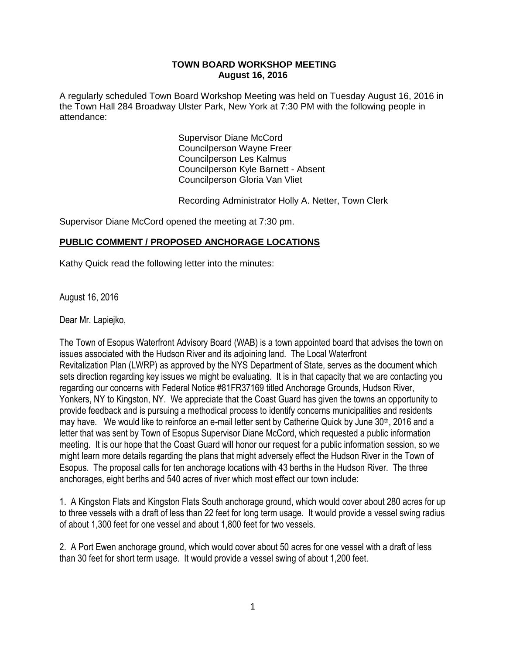#### **TOWN BOARD WORKSHOP MEETING August 16, 2016**

A regularly scheduled Town Board Workshop Meeting was held on Tuesday August 16, 2016 in the Town Hall 284 Broadway Ulster Park, New York at 7:30 PM with the following people in attendance:

> Supervisor Diane McCord Councilperson Wayne Freer Councilperson Les Kalmus Councilperson Kyle Barnett - Absent Councilperson Gloria Van Vliet

Recording Administrator Holly A. Netter, Town Clerk

Supervisor Diane McCord opened the meeting at 7:30 pm.

### **PUBLIC COMMENT / PROPOSED ANCHORAGE LOCATIONS**

Kathy Quick read the following letter into the minutes:

 August 16, 2016

Dear Mr. Lapiejko,

The Town of Esopus Waterfront Advisory Board (WAB) is a town appointed board that advises the town on issues associated with the Hudson River and its adjoining land. The Local Waterfront Revitalization Plan (LWRP) as approved by the NYS Department of State, serves as the document which sets direction regarding key issues we might be evaluating. It is in that capacity that we are contacting you regarding our concerns with Federal Notice #81FR37169 titled Anchorage Grounds, Hudson River, Yonkers, NY to Kingston, NY. We appreciate that the Coast Guard has given the towns an opportunity to provide feedback and is pursuing a methodical process to identify concerns municipalities and residents may have. We would like to reinforce an e-mail letter sent by Catherine Quick by June 30<sup>th</sup>, 2016 and a letter that was sent by Town of Esopus Supervisor Diane McCord, which requested a public information meeting. It is our hope that the Coast Guard will honor our request for a public information session, so we might learn more details regarding the plans that might adversely effect the Hudson River in the Town of Esopus. The proposal calls for ten anchorage locations with 43 berths in the Hudson River. The three anchorages, eight berths and 540 acres of river which most effect our town include:

1. A Kingston Flats and Kingston Flats South anchorage ground, which would cover about 280 acres for up to three vessels with a draft of less than 22 feet for long term usage. It would provide a vessel swing radius of about 1,300 feet for one vessel and about 1,800 feet for two vessels.

2. A Port Ewen anchorage ground, which would cover about 50 acres for one vessel with a draft of less than 30 feet for short term usage. It would provide a vessel swing of about 1,200 feet.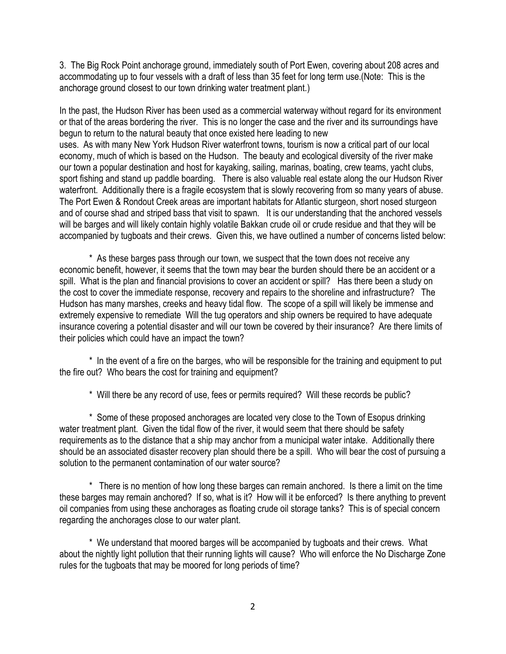3. The Big Rock Point anchorage ground, immediately south of Port Ewen, covering about 208 acres and accommodating up to four vessels with a draft of less than 35 feet for long term use.(Note: This is the anchorage ground closest to our town drinking water treatment plant.)

In the past, the Hudson River has been used as a commercial waterway without regard for its environment or that of the areas bordering the river. This is no longer the case and the river and its surroundings have begun to return to the natural beauty that once existed here leading to new uses. As with many New York Hudson River waterfront towns, tourism is now a critical part of our local economy, much of which is based on the Hudson. The beauty and ecological diversity of the river make our town a popular destination and host for kayaking, sailing, marinas, boating, crew teams, yacht clubs, sport fishing and stand up paddle boarding. There is also valuable real estate along the our Hudson River waterfront. Additionally there is a fragile ecosystem that is slowly recovering from so many years of abuse. The Port Ewen & Rondout Creek areas are important habitats for Atlantic sturgeon, short nosed sturgeon and of course shad and striped bass that visit to spawn. It is our understanding that the anchored vessels will be barges and will likely contain highly volatile Bakkan crude oil or crude residue and that they will be accompanied by tugboats and their crews. Given this, we have outlined a number of concerns listed below:

\* As these barges pass through our town, we suspect that the town does not receive any economic benefit, however, it seems that the town may bear the burden should there be an accident or a spill. What is the plan and financial provisions to cover an accident or spill? Has there been a study on the cost to cover the immediate response, recovery and repairs to the shoreline and infrastructure? The Hudson has many marshes, creeks and heavy tidal flow. The scope of a spill will likely be immense and extremely expensive to remediate Will the tug operators and ship owners be required to have adequate insurance covering a potential disaster and will our town be covered by their insurance? Are there limits of their policies which could have an impact the town?

\* In the event of a fire on the barges, who will be responsible for the training and equipment to put the fire out? Who bears the cost for training and equipment?

\* Will there be any record of use, fees or permits required? Will these records be public?

\* Some of these proposed anchorages are located very close to the Town of Esopus drinking water treatment plant. Given the tidal flow of the river, it would seem that there should be safety requirements as to the distance that a ship may anchor from a municipal water intake. Additionally there should be an associated disaster recovery plan should there be a spill. Who will bear the cost of pursuing a solution to the permanent contamination of our water source?

\* There is no mention of how long these barges can remain anchored. Is there a limit on the time these barges may remain anchored? If so, what is it? How will it be enforced? Is there anything to prevent oil companies from using these anchorages as floating crude oil storage tanks? This is of special concern regarding the anchorages close to our water plant.

\* We understand that moored barges will be accompanied by tugboats and their crews. What about the nightly light pollution that their running lights will cause? Who will enforce the No Discharge Zone rules for the tugboats that may be moored for long periods of time?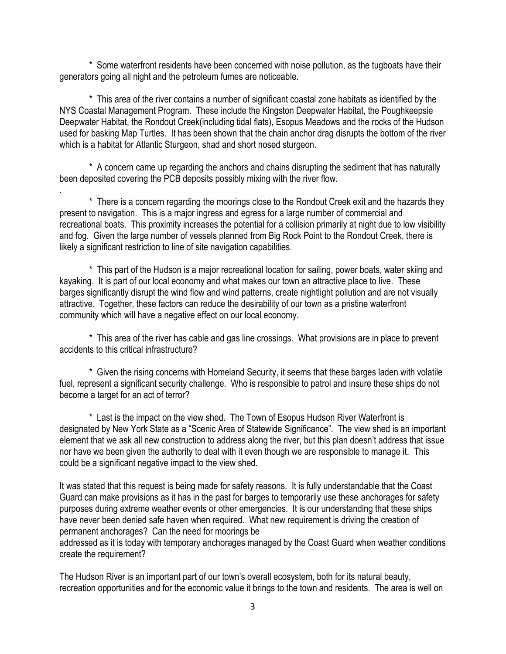\* Some waterfront residents have been concerned with noise pollution, as the tugboats have their generators going all night and the petroleum fumes are noticeable.

\* This area of the river contains a number of significant coastal zone habitats as identified by the NYS Coastal Management Program. These include the Kingston Deepwater Habitat, the Poughkeepsie Deepwater Habitat, the Rondout Creek(including tidal flats), Esopus Meadows and the rocks of the Hudson used for basking Map Turtles. It has been shown that the chain anchor drag disrupts the bottom of the river which is a habitat for Atlantic Sturgeon, shad and short nosed sturgeon.

\* A concern came up regarding the anchors and chains disrupting the sediment that has naturally been deposited covering the PCB deposits possibly mixing with the river flow.

.

\* There is a concern regarding the moorings close to the Rondout Creek exit and the hazards they present to navigation. This is a major ingress and egress for a large number of commercial and recreational boats. This proximity increases the potential for a collision primarily at night due to low visibility and fog. Given the large number of vessels planned from Big Rock Point to the Rondout Creek, there is likely a significant restriction to line of site navigation capabilities.

\* This part of the Hudson is a major recreational location for sailing, power boats, water skiing and kayaking. It is part of our local economy and what makes our town an attractive place to live. These barges significantly disrupt the wind flow and wind patterns, create nightlight pollution and are not visually attractive. Together, these factors can reduce the desirability of our town as a pristine waterfront community which will have a negative effect on our local economy.

\* This area of the river has cable and gas line crossings. What provisions are in place to prevent accidents to this critical infrastructure?

\* Given the rising concerns with Homeland Security, it seems that these barges laden with volatile fuel, represent a significant security challenge. Who is responsible to patrol and insure these ships do not become a target for an act of terror?

\* Last is the impact on the view shed. The Town of Esopus Hudson River Waterfront is designated by New York State as a "Scenic Area of Statewide Significance". The view shed is an important element that we ask all new construction to address along the river, but this plan doesn't address that issue nor have we been given the authority to deal with it even though we are responsible to manage it. This could be a significant negative impact to the view shed.

It was stated that this request is being made for safety reasons. It is fully understandable that the Coast Guard can make provisions as it has in the past for barges to temporarily use these anchorages for safety purposes during extreme weather events or other emergencies. It is our understanding that these ships have never been denied safe haven when required. What new requirement is driving the creation of permanent anchorages? Can the need for moorings be

addressed as it is today with temporary anchorages managed by the Coast Guard when weather conditions create the requirement?

The Hudson River is an important part of our town's overall ecosystem, both for its natural beauty, recreation opportunities and for the economic value it brings to the town and residents. The area is well on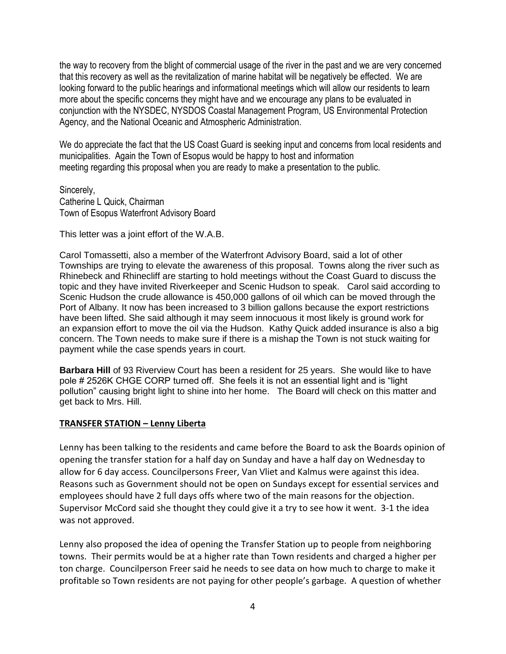the way to recovery from the blight of commercial usage of the river in the past and we are very concerned that this recovery as well as the revitalization of marine habitat will be negatively be effected. We are looking forward to the public hearings and informational meetings which will allow our residents to learn more about the specific concerns they might have and we encourage any plans to be evaluated in conjunction with the NYSDEC, NYSDOS Coastal Management Program, US Environmental Protection Agency, and the National Oceanic and Atmospheric Administration.

We do appreciate the fact that the US Coast Guard is seeking input and concerns from local residents and municipalities. Again the Town of Esopus would be happy to host and information meeting regarding this proposal when you are ready to make a presentation to the public.

Sincerely, Catherine L Quick, Chairman Town of Esopus Waterfront Advisory Board

This letter was a joint effort of the W.A.B.

Carol Tomassetti, also a member of the Waterfront Advisory Board, said a lot of other Townships are trying to elevate the awareness of this proposal. Towns along the river such as Rhinebeck and Rhinecliff are starting to hold meetings without the Coast Guard to discuss the topic and they have invited Riverkeeper and Scenic Hudson to speak. Carol said according to Scenic Hudson the crude allowance is 450,000 gallons of oil which can be moved through the Port of Albany. It now has been increased to 3 billion gallons because the export restrictions have been lifted. She said although it may seem innocuous it most likely is ground work for an expansion effort to move the oil via the Hudson. Kathy Quick added insurance is also a big concern. The Town needs to make sure if there is a mishap the Town is not stuck waiting for payment while the case spends years in court.

**Barbara Hill** of 93 Riverview Court has been a resident for 25 years. She would like to have pole # 2526K CHGE CORP turned off. She feels it is not an essential light and is "light pollution" causing bright light to shine into her home. The Board will check on this matter and get back to Mrs. Hill.

### **TRANSFER STATION – Lenny Liberta**

Lenny has been talking to the residents and came before the Board to ask the Boards opinion of opening the transfer station for a half day on Sunday and have a half day on Wednesday to allow for 6 day access. Councilpersons Freer, Van Vliet and Kalmus were against this idea. Reasons such as Government should not be open on Sundays except for essential services and employees should have 2 full days offs where two of the main reasons for the objection. Supervisor McCord said she thought they could give it a try to see how it went. 3-1 the idea was not approved.

Lenny also proposed the idea of opening the Transfer Station up to people from neighboring towns. Their permits would be at a higher rate than Town residents and charged a higher per ton charge. Councilperson Freer said he needs to see data on how much to charge to make it profitable so Town residents are not paying for other people's garbage. A question of whether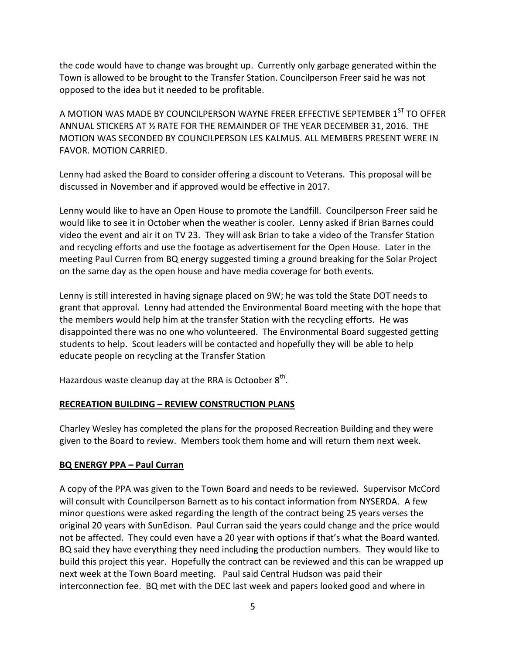the code would have to change was brought up. Currently only garbage generated within the Town is allowed to be brought to the Transfer Station. Councilperson Freer said he was not opposed to the idea but it needed to be profitable.

A MOTION WAS MADE BY COUNCILPERSON WAYNE FREER EFFECTIVE SEPTEMBER 1ST TO OFFFR ANNUAL STICKERS AT ½ RATE FOR THE REMAINDER OF THE YEAR DECEMBER 31, 2016. THE MOTION WAS SECONDED BY COUNCILPERSON LES KALMUS. ALL MEMBERS PRESENT WERE IN FAVOR. MOTION CARRIED.

Lenny had asked the Board to consider offering a discount to Veterans. This proposal will be discussed in November and if approved would be effective in 2017.

Lenny would like to have an Open House to promote the Landfill. Councilperson Freer said he would like to see it in October when the weather is cooler. Lenny asked if Brian Barnes could video the event and air it on TV 23. They will ask Brian to take a video of the Transfer Station and recycling efforts and use the footage as advertisement for the Open House. Later in the meeting Paul Curren from BQ energy suggested timing a ground breaking for the Solar Project on the same day as the open house and have media coverage for both events.

Lenny is still interested in having signage placed on 9W; he was told the State DOT needs to grant that approval. Lenny had attended the Environmental Board meeting with the hope that the members would help him at the transfer Station with the recycling efforts. He was disappointed there was no one who volunteered. The Environmental Board suggested getting students to help. Scout leaders will be contacted and hopefully they will be able to help educate people on recycling at the Transfer Station

Hazardous waste cleanup day at the RRA is Octoober  $8^{\text{th}}$ .

# **RECREATION BUILDING – REVIEW CONSTRUCTION PLANS**

Charley Wesley has completed the plans for the proposed Recreation Building and they were given to the Board to review. Members took them home and will return them next week.

# **BQ ENERGY PPA – Paul Curran**

A copy of the PPA was given to the Town Board and needs to be reviewed. Supervisor McCord will consult with Councilperson Barnett as to his contact information from NYSERDA. A few minor questions were asked regarding the length of the contract being 25 years verses the original 20 years with SunEdison. Paul Curran said the years could change and the price would not be affected. They could even have a 20 year with options if that's what the Board wanted. BQ said they have everything they need including the production numbers. They would like to build this project this year. Hopefully the contract can be reviewed and this can be wrapped up next week at the Town Board meeting. Paul said Central Hudson was paid their interconnection fee. BQ met with the DEC last week and papers looked good and where in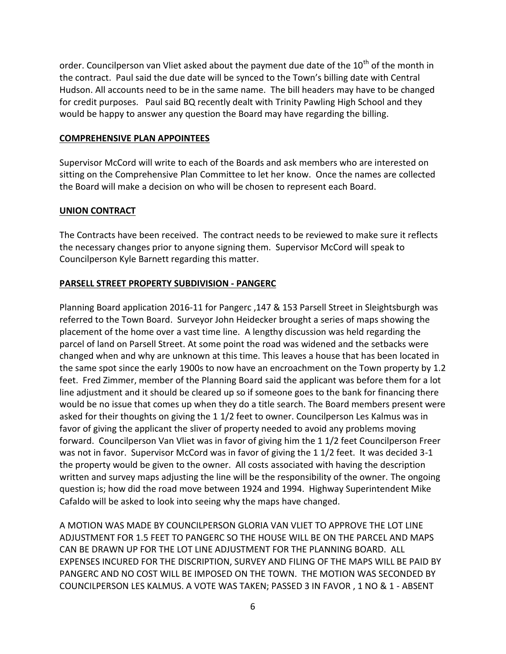order. Councilperson van Vliet asked about the payment due date of the  $10<sup>th</sup>$  of the month in the contract. Paul said the due date will be synced to the Town's billing date with Central Hudson. All accounts need to be in the same name. The bill headers may have to be changed for credit purposes. Paul said BQ recently dealt with Trinity Pawling High School and they would be happy to answer any question the Board may have regarding the billing.

### **COMPREHENSIVE PLAN APPOINTEES**

Supervisor McCord will write to each of the Boards and ask members who are interested on sitting on the Comprehensive Plan Committee to let her know. Once the names are collected the Board will make a decision on who will be chosen to represent each Board.

## **UNION CONTRACT**

The Contracts have been received. The contract needs to be reviewed to make sure it reflects the necessary changes prior to anyone signing them. Supervisor McCord will speak to Councilperson Kyle Barnett regarding this matter.

## **PARSELL STREET PROPERTY SUBDIVISION - PANGERC**

Planning Board application 2016-11 for Pangerc ,147 & 153 Parsell Street in Sleightsburgh was referred to the Town Board. Surveyor John Heidecker brought a series of maps showing the placement of the home over a vast time line. A lengthy discussion was held regarding the parcel of land on Parsell Street. At some point the road was widened and the setbacks were changed when and why are unknown at this time. This leaves a house that has been located in the same spot since the early 1900s to now have an encroachment on the Town property by 1.2 feet. Fred Zimmer, member of the Planning Board said the applicant was before them for a lot line adjustment and it should be cleared up so if someone goes to the bank for financing there would be no issue that comes up when they do a title search. The Board members present were asked for their thoughts on giving the 1 1/2 feet to owner. Councilperson Les Kalmus was in favor of giving the applicant the sliver of property needed to avoid any problems moving forward. Councilperson Van Vliet was in favor of giving him the 1 1/2 feet Councilperson Freer was not in favor. Supervisor McCord was in favor of giving the 1 1/2 feet. It was decided 3-1 the property would be given to the owner. All costs associated with having the description written and survey maps adjusting the line will be the responsibility of the owner. The ongoing question is; how did the road move between 1924 and 1994. Highway Superintendent Mike Cafaldo will be asked to look into seeing why the maps have changed.

A MOTION WAS MADE BY COUNCILPERSON GLORIA VAN VLIET TO APPROVE THE LOT LINE ADJUSTMENT FOR 1.5 FEET TO PANGERC SO THE HOUSE WILL BE ON THE PARCEL AND MAPS CAN BE DRAWN UP FOR THE LOT LINE ADJUSTMENT FOR THE PLANNING BOARD. ALL EXPENSES INCURED FOR THE DISCRIPTION, SURVEY AND FILING OF THE MAPS WILL BE PAID BY PANGERC AND NO COST WILL BE IMPOSED ON THE TOWN. THE MOTION WAS SECONDED BY COUNCILPERSON LES KALMUS. A VOTE WAS TAKEN; PASSED 3 IN FAVOR , 1 NO & 1 - ABSENT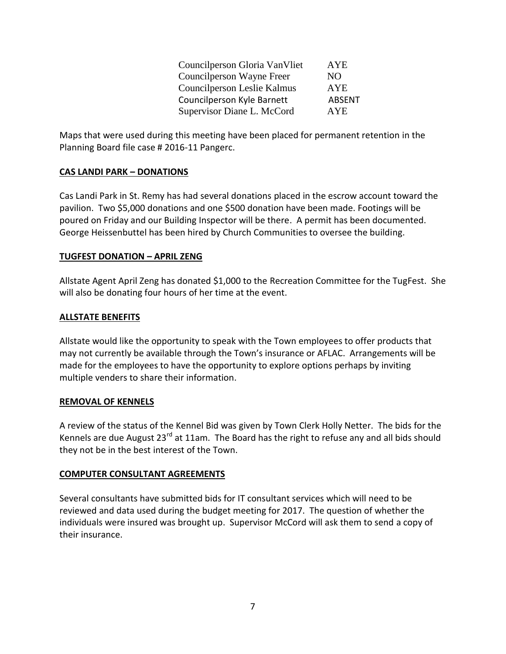| Councilperson Gloria Van Vliet | <b>AYE</b>    |
|--------------------------------|---------------|
| Councilperson Wayne Freer      | NO.           |
| Councilperson Leslie Kalmus    | <b>AYE</b>    |
| Councilperson Kyle Barnett     | <b>ABSENT</b> |
| Supervisor Diane L. McCord     | AYE.          |

Maps that were used during this meeting have been placed for permanent retention in the Planning Board file case # 2016-11 Pangerc.

## **CAS LANDI PARK – DONATIONS**

Cas Landi Park in St. Remy has had several donations placed in the escrow account toward the pavilion. Two \$5,000 donations and one \$500 donation have been made. Footings will be poured on Friday and our Building Inspector will be there. A permit has been documented. George Heissenbuttel has been hired by Church Communities to oversee the building.

## **TUGFEST DONATION – APRIL ZENG**

Allstate Agent April Zeng has donated \$1,000 to the Recreation Committee for the TugFest. She will also be donating four hours of her time at the event.

## **ALLSTATE BENEFITS**

Allstate would like the opportunity to speak with the Town employees to offer products that may not currently be available through the Town's insurance or AFLAC. Arrangements will be made for the employees to have the opportunity to explore options perhaps by inviting multiple venders to share their information.

### **REMOVAL OF KENNELS**

A review of the status of the Kennel Bid was given by Town Clerk Holly Netter. The bids for the Kennels are due August 23<sup>rd</sup> at 11am. The Board has the right to refuse any and all bids should they not be in the best interest of the Town.

### **COMPUTER CONSULTANT AGREEMENTS**

Several consultants have submitted bids for IT consultant services which will need to be reviewed and data used during the budget meeting for 2017. The question of whether the individuals were insured was brought up. Supervisor McCord will ask them to send a copy of their insurance.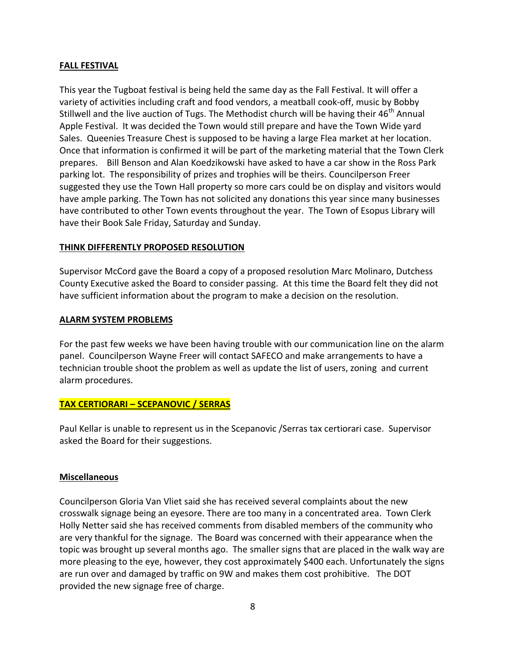### **FALL FESTIVAL**

This year the Tugboat festival is being held the same day as the Fall Festival. It will offer a variety of activities including craft and food vendors, a meatball cook-off, music by Bobby Stillwell and the live auction of Tugs. The Methodist church will be having their 46<sup>th</sup> Annual Apple Festival. It was decided the Town would still prepare and have the Town Wide yard Sales. Queenies Treasure Chest is supposed to be having a large Flea market at her location. Once that information is confirmed it will be part of the marketing material that the Town Clerk prepares. Bill Benson and Alan Koedzikowski have asked to have a car show in the Ross Park parking lot. The responsibility of prizes and trophies will be theirs. Councilperson Freer suggested they use the Town Hall property so more cars could be on display and visitors would have ample parking. The Town has not solicited any donations this year since many businesses have contributed to other Town events throughout the year. The Town of Esopus Library will have their Book Sale Friday, Saturday and Sunday.

## **THINK DIFFERENTLY PROPOSED RESOLUTION**

Supervisor McCord gave the Board a copy of a proposed resolution Marc Molinaro, Dutchess County Executive asked the Board to consider passing. At this time the Board felt they did not have sufficient information about the program to make a decision on the resolution.

### **ALARM SYSTEM PROBLEMS**

For the past few weeks we have been having trouble with our communication line on the alarm panel. Councilperson Wayne Freer will contact SAFECO and make arrangements to have a technician trouble shoot the problem as well as update the list of users, zoning and current alarm procedures.

### **TAX CERTIORARI – SCEPANOVIC / SERRAS**

Paul Kellar is unable to represent us in the Scepanovic /Serras tax certiorari case. Supervisor asked the Board for their suggestions.

### **Miscellaneous**

Councilperson Gloria Van Vliet said she has received several complaints about the new crosswalk signage being an eyesore. There are too many in a concentrated area. Town Clerk Holly Netter said she has received comments from disabled members of the community who are very thankful for the signage. The Board was concerned with their appearance when the topic was brought up several months ago. The smaller signs that are placed in the walk way are more pleasing to the eye, however, they cost approximately \$400 each. Unfortunately the signs are run over and damaged by traffic on 9W and makes them cost prohibitive. The DOT provided the new signage free of charge.